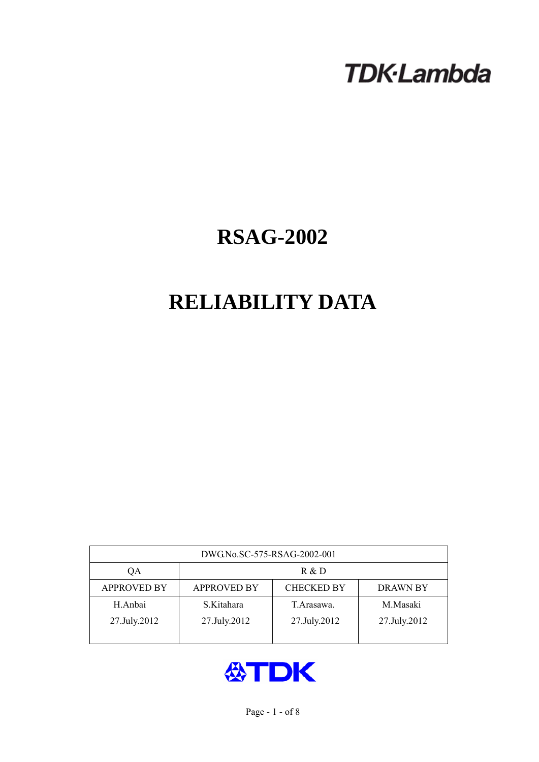# **TDK-Lambda**

## **RSAG-2002**

## **RELIABILITY DATA**

| DWG.No.SC-575-RSAG-2002-001 |                                                            |              |              |  |  |  |
|-----------------------------|------------------------------------------------------------|--------------|--------------|--|--|--|
| QA                          | R & D                                                      |              |              |  |  |  |
| <b>APPROVED BY</b>          | <b>APPROVED BY</b><br><b>CHECKED BY</b><br><b>DRAWN BY</b> |              |              |  |  |  |
| H.Anbai                     | S.Kitahara                                                 | T. Arasawa.  | M.Masaki     |  |  |  |
| 27.July.2012                | 27.July.2012                                               | 27.July.2012 | 27.July.2012 |  |  |  |
|                             |                                                            |              |              |  |  |  |

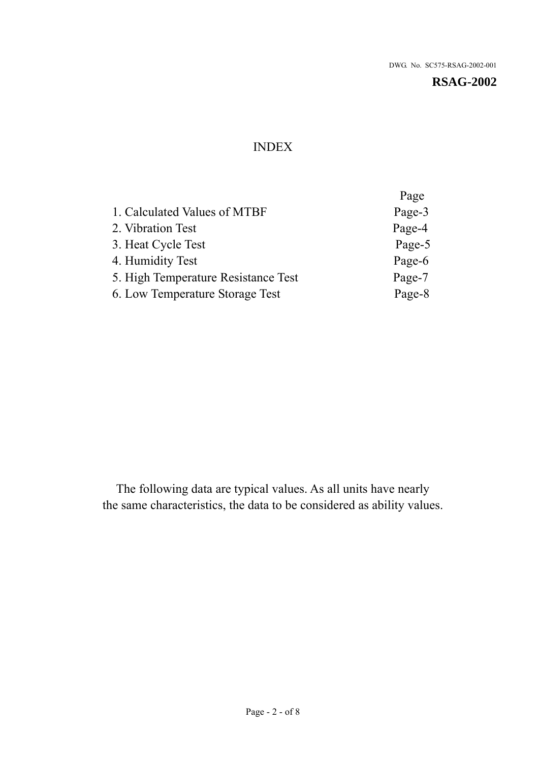## INDEX

|                                     | Page   |
|-------------------------------------|--------|
| 1. Calculated Values of MTBF        | Page-3 |
| 2. Vibration Test                   | Page-4 |
| 3. Heat Cycle Test                  | Page-5 |
| 4. Humidity Test                    | Page-6 |
| 5. High Temperature Resistance Test | Page-7 |
| 6. Low Temperature Storage Test     | Page-8 |
|                                     |        |

The following data are typical values. As all units have nearly the same characteristics, the data to be considered as ability values.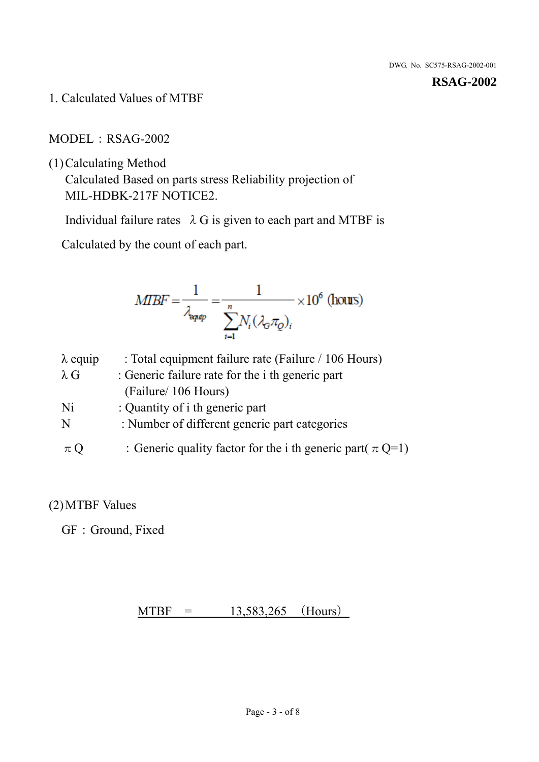1. Calculated Values of MTBF

MODEL: RSAG-2002

(1)Calculating Method

Calculated Based on parts stress Reliability projection of MIL-HDBK-217F NOTICE2.

Individual failure rates  $\lambda$  G is given to each part and MTBF is

Calculated by the count of each part.

$$
MIBF = \frac{1}{\lambda_{\text{expap}}} = \frac{1}{\sum_{i=1}^{n} N_i (\lambda_{\text{G}} \pi_Q)_i} \times 10^6 \text{ (hours)}
$$

| $\lambda$ equip | : Total equipment failure rate (Failure / 106 Hours)            |
|-----------------|-----------------------------------------------------------------|
| $\lambda$ G     | : Generic failure rate for the <i>i</i> th generic part         |
|                 | (Failure/ 106 Hours)                                            |
| Ni              | : Quantity of i th generic part                                 |
| N               | : Number of different generic part categories                   |
| $\pi Q$         | : Generic quality factor for the i th generic part( $\pi Q=1$ ) |

## (2)MTBF Values

GF: Ground, Fixed

 $MTBF = 13,583,265$  (Hours)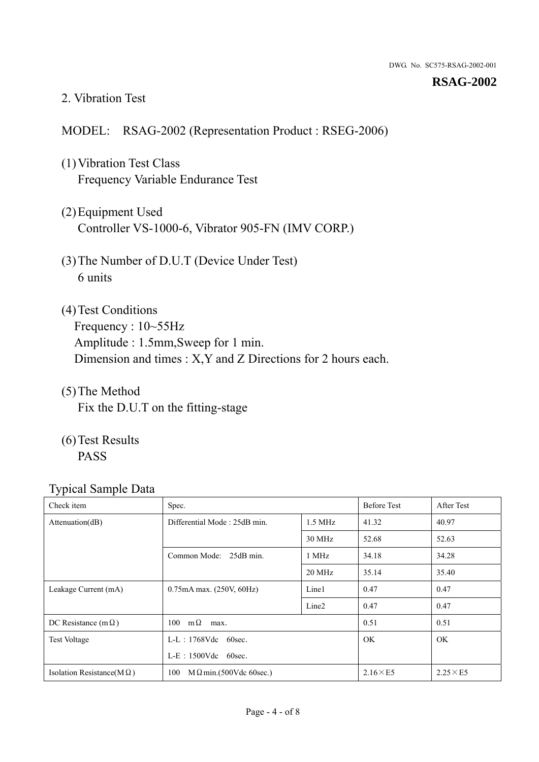#### 2. Vibration Test

### MODEL: RSAG-2002 (Representation Product : RSEG-2006)

- (1)Vibration Test Class Frequency Variable Endurance Test
- (2)Equipment Used Controller VS-1000-6, Vibrator 905-FN (IMV CORP.)
- (3)The Number of D.U.T (Device Under Test) 6 units
- (4) Test Conditions Frequency : 10~55Hz Amplitude : 1.5mm,Sweep for 1 min. Dimension and times : X,Y and Z Directions for 2 hours each.
- (5)The Method Fix the D.U.T on the fitting-stage
- (6)Test Results PASS

| Check item                        | Spec.                                 |                   | <b>Before Test</b> | After Test      |
|-----------------------------------|---------------------------------------|-------------------|--------------------|-----------------|
| Attention(dB)                     | Differential Mode: 25dB min.          | $1.5$ MHz         | 41.32              | 40.97           |
|                                   |                                       | 30 MHz            | 52.68              | 52.63           |
|                                   | Common Mode: 25dB min.                | 1 MHz             | 34.18              | 34.28           |
|                                   |                                       | 20 MHz            | 35.14              | 35.40           |
| Leakage Current (mA)              | $0.75$ mA max. $(250V, 60Hz)$         | Line1             | 0.47               | 0.47            |
|                                   |                                       | Line <sub>2</sub> | 0.47               | 0.47            |
| DC Resistance (m $\Omega$ )       | $100 \quad m\Omega$<br>max.           |                   | 0.51               | 0.51            |
| <b>Test Voltage</b>               | $L-L$ : 1768Vdc 60sec.                |                   | <b>OK</b>          | OK.             |
|                                   | $L-E$ : 1500Vdc 60sec.                |                   |                    |                 |
| Isolation Resistance(M $\Omega$ ) | 100<br>$M \Omega$ min.(500Vdc 60sec.) |                   | $2.16\times E5$    | $2.25\times E5$ |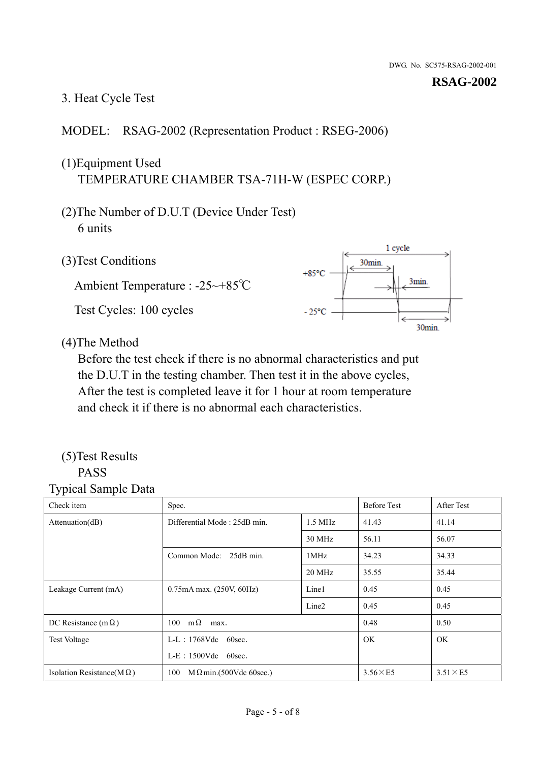## 3. Heat Cycle Test

## MODEL: RSAG-2002 (Representation Product : RSEG-2006)

## (1)Equipment Used TEMPERATURE CHAMBER TSA-71H-W (ESPEC CORP.)

- (2)The Number of D.U.T (Device Under Test) 6 units
- 1 cycle (3)Test Conditions 30<sub>min</sub>  $+85^{\circ}$ C 3min. Ambient Temperature : -25~+85℃ Test Cycles: 100 cycles  $-25^{\circ}$ C 30min.

(4)The Method

Before the test check if there is no abnormal characteristics and put the D.U.T in the testing chamber. Then test it in the above cycles, After the test is completed leave it for 1 hour at room temperature and check it if there is no abnormal each characteristics.

#### (5)Test Results PASS

| ┙┸<br>$\mathbf{I}$<br>Check item  | Spec.                                     |                   | <b>Before Test</b> | After Test      |
|-----------------------------------|-------------------------------------------|-------------------|--------------------|-----------------|
| Attention(dB)                     | Differential Mode: 25dB min.<br>$1.5$ MHz |                   | 41.43              | 41.14           |
|                                   |                                           | 30 MHz            | 56.11              | 56.07           |
|                                   | Common Mode: 25dB min.                    | 1MHz              | 34.23              | 34.33           |
|                                   |                                           | 20 MHz            | 35.55              | 35.44           |
| Leakage Current (mA)              | $0.75mA$ max. $(250V, 60Hz)$              | Line1             | 0.45               | 0.45            |
|                                   |                                           | Line <sub>2</sub> | 0.45               | 0.45            |
| DC Resistance (m $\Omega$ )       | $100 \quad m\Omega$<br>max.               |                   | 0.48               | 0.50            |
| <b>Test Voltage</b>               | $L-L$ : 1768Vdc 60sec.                    |                   | OK.                | OK.             |
|                                   | $L-E$ : 1500Vdc 60sec.                    |                   |                    |                 |
| Isolation Resistance(M $\Omega$ ) | 100<br>$M\Omega$ min.(500Vdc 60sec.)      |                   | $3.56\times E5$    | $3.51\times E5$ |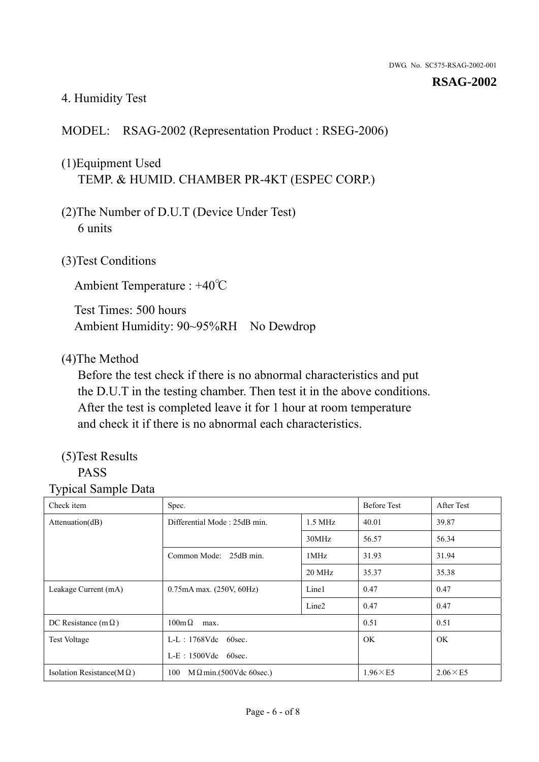## 4. Humidity Test

## MODEL: RSAG-2002 (Representation Product : RSEG-2006)

## (1)Equipment Used TEMP. & HUMID. CHAMBER PR-4KT (ESPEC CORP.)

- (2)The Number of D.U.T (Device Under Test) 6 units
- (3)Test Conditions

Ambient Temperature : +40℃

Test Times: 500 hours Ambient Humidity: 90~95%RH No Dewdrop

### (4)The Method

Before the test check if there is no abnormal characteristics and put the D.U.T in the testing chamber. Then test it in the above conditions. After the test is completed leave it for 1 hour at room temperature and check it if there is no abnormal each characteristics.

## (5)Test Results

## PASS

| Check item                        | Spec.                                     |                   | <b>Before Test</b> | After Test      |
|-----------------------------------|-------------------------------------------|-------------------|--------------------|-----------------|
| Attenuation(dB)                   | Differential Mode: 25dB min.<br>$1.5$ MHz |                   | 40.01              | 39.87           |
|                                   |                                           | 30MHz             | 56.57              | 56.34           |
|                                   | Common Mode: 25dB min.                    | 1MHz              | 31.93              | 31.94           |
|                                   |                                           | 20 MHz            | 35.37              | 35.38           |
| Leakage Current (mA)              | 0.75mA max. (250V, 60Hz)                  | Line1             | 0.47               | 0.47            |
|                                   |                                           | Line <sub>2</sub> | 0.47               | 0.47            |
| DC Resistance (m $\Omega$ )       | $100 \text{m}\,\Omega$<br>max.            |                   | 0.51               | 0.51            |
| <b>Test Voltage</b>               | $L-L$ : 1768Vdc 60sec.                    |                   | OK.                | OK.             |
|                                   | $L-E$ : 1500Vdc 60sec.                    |                   |                    |                 |
| Isolation Resistance(M $\Omega$ ) | $M \Omega$ min.(500Vdc 60sec.)<br>100     |                   | $1.96\times E5$    | $2.06\times E5$ |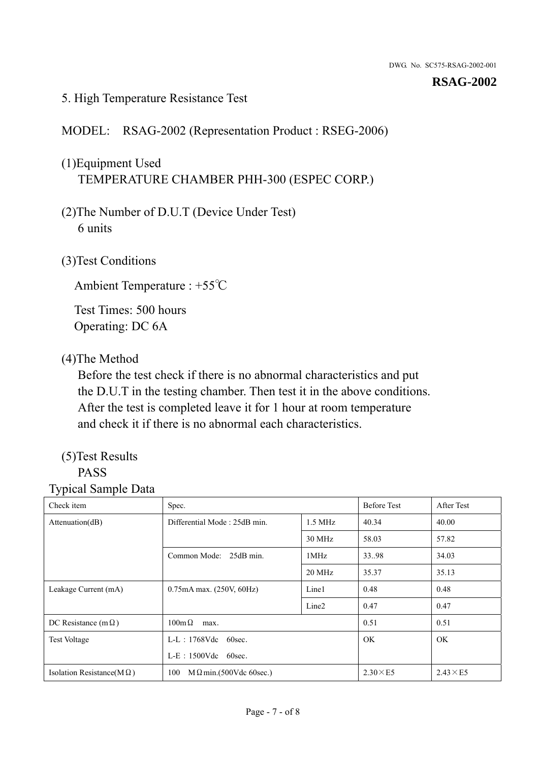### 5. High Temperature Resistance Test

## MODEL: RSAG-2002 (Representation Product : RSEG-2006)

## (1)Equipment Used TEMPERATURE CHAMBER PHH-300 (ESPEC CORP.)

- (2)The Number of D.U.T (Device Under Test) 6 units
- (3)Test Conditions

Ambient Temperature : +55℃

Test Times: 500 hours Operating: DC 6A

## (4)The Method

Before the test check if there is no abnormal characteristics and put the D.U.T in the testing chamber. Then test it in the above conditions. After the test is completed leave it for 1 hour at room temperature and check it if there is no abnormal each characteristics.

## (5)Test Results

## PASS

| Check item                        | Spec.                                     |                   | <b>Before Test</b> | After Test      |
|-----------------------------------|-------------------------------------------|-------------------|--------------------|-----------------|
| Attenuation(dB)                   | Differential Mode: 25dB min.<br>$1.5$ MHz |                   | 40.34              | 40.00           |
|                                   |                                           | 30 MHz            | 58.03              | 57.82           |
|                                   | Common Mode: 25dB min.                    | 1MHz              | 33.98              | 34.03           |
|                                   |                                           | 20 MHz            | 35.37              | 35.13           |
| Leakage Current (mA)              | 0.75mA max. (250V, 60Hz)                  | Line1             | 0.48               | 0.48            |
|                                   |                                           | Line <sub>2</sub> | 0.47               | 0.47            |
| DC Resistance (m $\Omega$ )       | $100 \text{m}\,\Omega$<br>max.            |                   | 0.51               | 0.51            |
| <b>Test Voltage</b>               | $L-L$ : 1768Vdc 60sec.                    |                   | OK.                | OK.             |
|                                   | $L-E$ : 1500Vdc 60sec.                    |                   |                    |                 |
| Isolation Resistance(M $\Omega$ ) | $M \Omega$ min.(500Vdc 60sec.)<br>100     |                   | $2.30\times E5$    | $2.43\times E5$ |